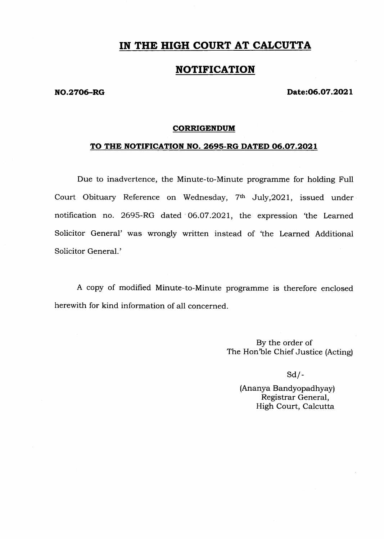## IN THE HIGH COURT AT CALCUTTA

## NOTIFICATION

#### NO.2706-RG Date:06.07.2021

#### **CORRIGENDUM**

### TO THE NOTIFICATION NO. 2695-RG DATED 06.07.2021

Due to inadvertence, the Minute-to-Minute programme for holding Full Court Obituary Reference on Wednesday, 7<sup>th</sup> July, 2021, issued under notification no. 2695-RG dated 06.07.2021, the expression 'the Learned Solicitor General' was wrongly written instead of 'the Learned Additional Solicitor General.'

A copy of modified Minute-to-Minute programme is therefore enclosed herewith for kind information of all concerned.

> By the order of The Hon'ble Chief Justice (Acting)

> > $Sd$  /-

(Ananya Bandyopadhyay) Registrar General, High Court, Calcutta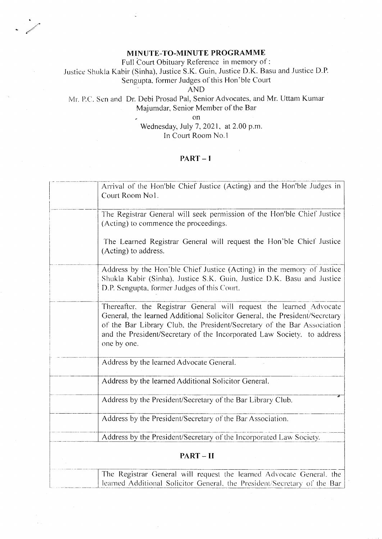### MINUTE-TO-MINUTE PROGRAMME

Full Court Obituary Reference in memory of:

Justice Shukla Kabir (Sinha), Justice S.K. Guin, Justice D.K. Basu and Justice D.P. Sengupta, former Judges of this Hon'ble Court

**AND** 

# Mr. P.C. Sen and Dr. Debi Prosad Pal, Senior Advocates, and Mr. Uttam Kumar Majumdar, Senior Member of the Bar

<sub>on</sub>

Wednesday, July 7, 2021, at 2.00 p.m. In Court Room No.1

### $PART - 1$

|         | Arrival of the Hon'ble Chief Justice (Acting) and the Hon'ble Judges in<br>Court Room No1.                                                                                                                                                                                                                             |
|---------|------------------------------------------------------------------------------------------------------------------------------------------------------------------------------------------------------------------------------------------------------------------------------------------------------------------------|
|         | The Registrar General will seek permission of the Hon'ble Chief Justice<br>(Acting) to commence the proceedings.                                                                                                                                                                                                       |
|         | The Learned Registrar General will request the Hon'ble Chief Justice<br>(Acting) to address.                                                                                                                                                                                                                           |
|         | Address by the Hon ble Chief Justice (Acting) in the memory of Justice<br>Shukla Kabir (Sinha), Justice S.K. Guin, Justice D.K. Basu and Justice<br>D.P. Sengupta, former Judges of this Court.                                                                                                                        |
|         | Thereafter, the Registrar General will request the learned Advocate<br>General, the learned Additional Solicitor General, the President/Secretary<br>of the Bar Library Club, the President/Secretary of the Bar Association<br>and the President/Secretary of the Incorporated Law Society. to address<br>one by one. |
|         | Address by the learned Advocate General.                                                                                                                                                                                                                                                                               |
|         | Address by the learned Additional Solicitor General.                                                                                                                                                                                                                                                                   |
|         | Address by the President/Secretary of the Bar Library Club.                                                                                                                                                                                                                                                            |
|         | Address by the President/Secretary of the Bar Association.                                                                                                                                                                                                                                                             |
|         | Address by the President/Secretary of the Incorporated Law Society.                                                                                                                                                                                                                                                    |
| PART-II |                                                                                                                                                                                                                                                                                                                        |
|         | The Registrar General will request the learned Advocate General, the<br>learned Additional Solicitor General the President/Secretary of the Bar                                                                                                                                                                        |